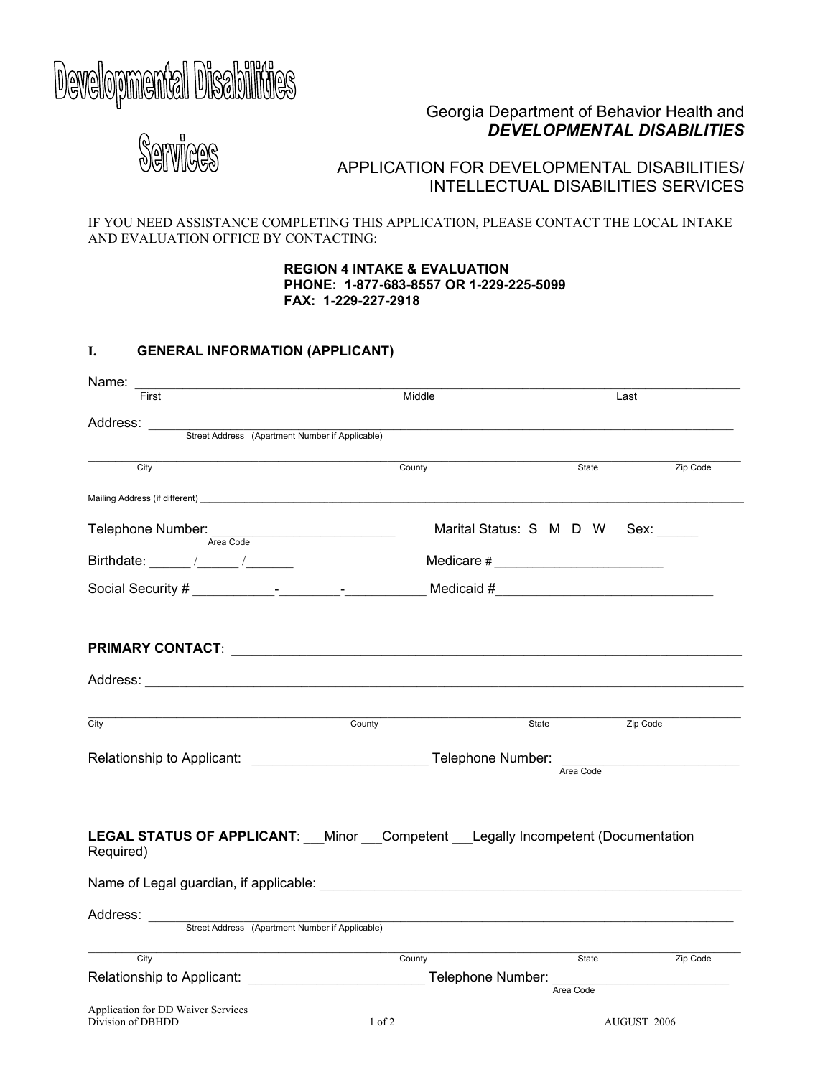# Developmental Disabilities

## Georgia Department of Behavior Health and *DEVELOPMENTAL DISABILITIES*

Services

# APPLICATION FOR DEVELOPMENTAL DISABILITIES/ INTELLECTUAL DISABILITIES SERVICES

IF YOU NEED ASSISTANCE COMPLETING THIS APPLICATION, PLEASE CONTACT THE LOCAL INTAKE AND EVALUATION OFFICE BY CONTACTING:

> **REGION 4 INTAKE & EVALUATION PHONE: 1-877-683-8557 OR 1-229-225-5099 FAX: 1-229-227-2918**

## **I. GENERAL INFORMATION (APPLICANT)**

| Name:                                                                                                                                                                                                                                                                                                  |            |                                                                                    |             |  |
|--------------------------------------------------------------------------------------------------------------------------------------------------------------------------------------------------------------------------------------------------------------------------------------------------------|------------|------------------------------------------------------------------------------------|-------------|--|
| First                                                                                                                                                                                                                                                                                                  | Middle     | Last                                                                               |             |  |
| Address:                                                                                                                                                                                                                                                                                               |            |                                                                                    |             |  |
| Street Address (Apartment Number if Applicable)                                                                                                                                                                                                                                                        |            |                                                                                    |             |  |
| City                                                                                                                                                                                                                                                                                                   | County     | State                                                                              | Zip Code    |  |
|                                                                                                                                                                                                                                                                                                        |            |                                                                                    |             |  |
| Telephone Number:<br>Area Code                                                                                                                                                                                                                                                                         |            | Marital Status: S M D W Sex:                                                       |             |  |
| Birthdate: $\frac{1}{2}$ / $\frac{1}{2}$ / $\frac{1}{2}$ / $\frac{1}{2}$ / $\frac{1}{2}$ / $\frac{1}{2}$ / $\frac{1}{2}$ / $\frac{1}{2}$ / $\frac{1}{2}$ / $\frac{1}{2}$ / $\frac{1}{2}$ / $\frac{1}{2}$ / $\frac{1}{2}$ / $\frac{1}{2}$ / $\frac{1}{2}$ / $\frac{1}{2}$ / $\frac{1}{2}$ / $\frac{1}{$ |            |                                                                                    |             |  |
|                                                                                                                                                                                                                                                                                                        |            |                                                                                    |             |  |
|                                                                                                                                                                                                                                                                                                        |            |                                                                                    |             |  |
|                                                                                                                                                                                                                                                                                                        |            |                                                                                    |             |  |
|                                                                                                                                                                                                                                                                                                        |            |                                                                                    |             |  |
|                                                                                                                                                                                                                                                                                                        |            |                                                                                    |             |  |
| City                                                                                                                                                                                                                                                                                                   | County     | State                                                                              | Zip Code    |  |
|                                                                                                                                                                                                                                                                                                        |            |                                                                                    |             |  |
|                                                                                                                                                                                                                                                                                                        |            |                                                                                    |             |  |
|                                                                                                                                                                                                                                                                                                        |            |                                                                                    |             |  |
| <b>LEGAL STATUS OF APPLICANT:</b> Minor Competent Legally Incompetent (Documentation<br>Required)                                                                                                                                                                                                      |            |                                                                                    |             |  |
| Name of Legal guardian, if applicable:                                                                                                                                                                                                                                                                 |            |                                                                                    |             |  |
|                                                                                                                                                                                                                                                                                                        |            |                                                                                    |             |  |
| Address: <u>Street Address (Apartment Number if Applicable)</u>                                                                                                                                                                                                                                        |            |                                                                                    |             |  |
| City                                                                                                                                                                                                                                                                                                   | County     | State                                                                              | Zip Code    |  |
|                                                                                                                                                                                                                                                                                                        |            | Relationship to Applicant: __________________________________Telephone Number: ___ |             |  |
|                                                                                                                                                                                                                                                                                                        |            | Area Code                                                                          |             |  |
| Application for DD Waiver Services<br>Division of DBHDD                                                                                                                                                                                                                                                | $1$ of $2$ |                                                                                    | AUGUST 2006 |  |